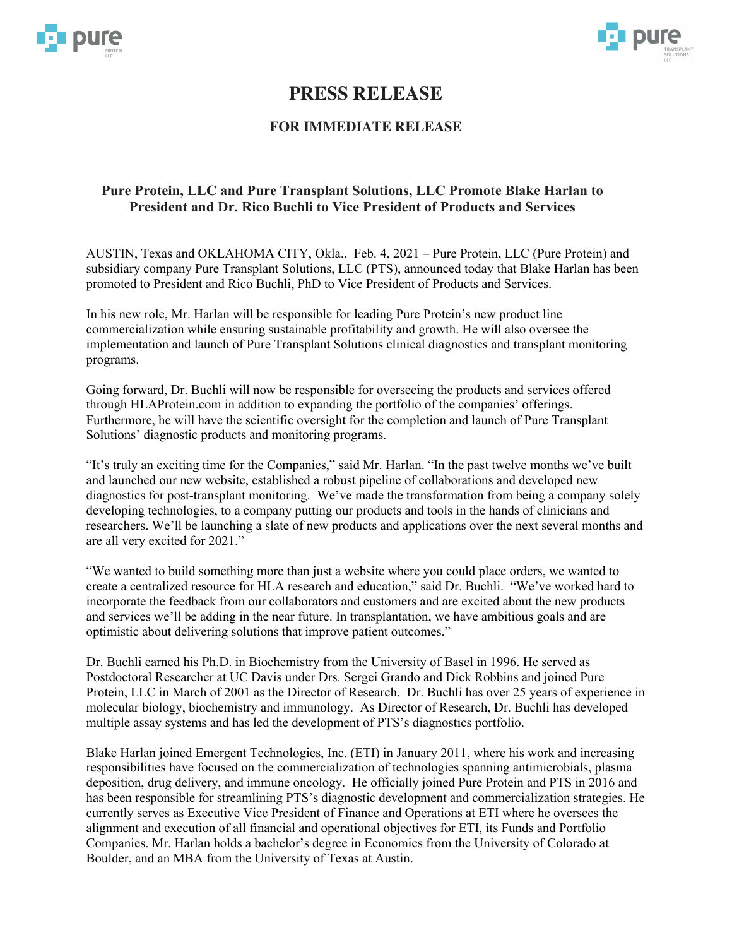



# **PRESS RELEASE**

## **FOR IMMEDIATE RELEASE**

### **Pure Protein, LLC and Pure Transplant Solutions, LLC Promote Blake Harlan to President and Dr. Rico Buchli to Vice President of Products and Services**

AUSTIN, Texas and OKLAHOMA CITY, Okla., Feb. 4, 2021 – Pure Protein, LLC (Pure Protein) and subsidiary company Pure Transplant Solutions, LLC (PTS), announced today that Blake Harlan has been promoted to President and Rico Buchli, PhD to Vice President of Products and Services.

In his new role, Mr. Harlan will be responsible for leading Pure Protein's new product line commercialization while ensuring sustainable profitability and growth. He will also oversee the implementation and launch of Pure Transplant Solutions clinical diagnostics and transplant monitoring programs.

Going forward, Dr. Buchli will now be responsible for overseeing the products and services offered through HLAProtein.com in addition to expanding the portfolio of the companies' offerings. Furthermore, he will have the scientific oversight for the completion and launch of Pure Transplant Solutions' diagnostic products and monitoring programs.

"It's truly an exciting time for the Companies," said Mr. Harlan. "In the past twelve months we've built and launched our new website, established a robust pipeline of collaborations and developed new diagnostics for post-transplant monitoring. We've made the transformation from being a company solely developing technologies, to a company putting our products and tools in the hands of clinicians and researchers. We'll be launching a slate of new products and applications over the next several months and are all very excited for 2021."

"We wanted to build something more than just a website where you could place orders, we wanted to create a centralized resource for HLA research and education," said Dr. Buchli. "We've worked hard to incorporate the feedback from our collaborators and customers and are excited about the new products and services we'll be adding in the near future. In transplantation, we have ambitious goals and are optimistic about delivering solutions that improve patient outcomes."

Dr. Buchli earned his Ph.D. in Biochemistry from the University of Basel in 1996. He served as Postdoctoral Researcher at UC Davis under Drs. Sergei Grando and Dick Robbins and joined Pure Protein, LLC in March of 2001 as the Director of Research. Dr. Buchli has over 25 years of experience in molecular biology, biochemistry and immunology. As Director of Research, Dr. Buchli has developed multiple assay systems and has led the development of PTS's diagnostics portfolio.

Blake Harlan joined Emergent Technologies, Inc. (ETI) in January 2011, where his work and increasing responsibilities have focused on the commercialization of technologies spanning antimicrobials, plasma deposition, drug delivery, and immune oncology. He officially joined Pure Protein and PTS in 2016 and has been responsible for streamlining PTS's diagnostic development and commercialization strategies. He currently serves as Executive Vice President of Finance and Operations at ETI where he oversees the alignment and execution of all financial and operational objectives for ETI, its Funds and Portfolio Companies. Mr. Harlan holds a bachelor's degree in Economics from the University of Colorado at Boulder, and an MBA from the University of Texas at Austin.